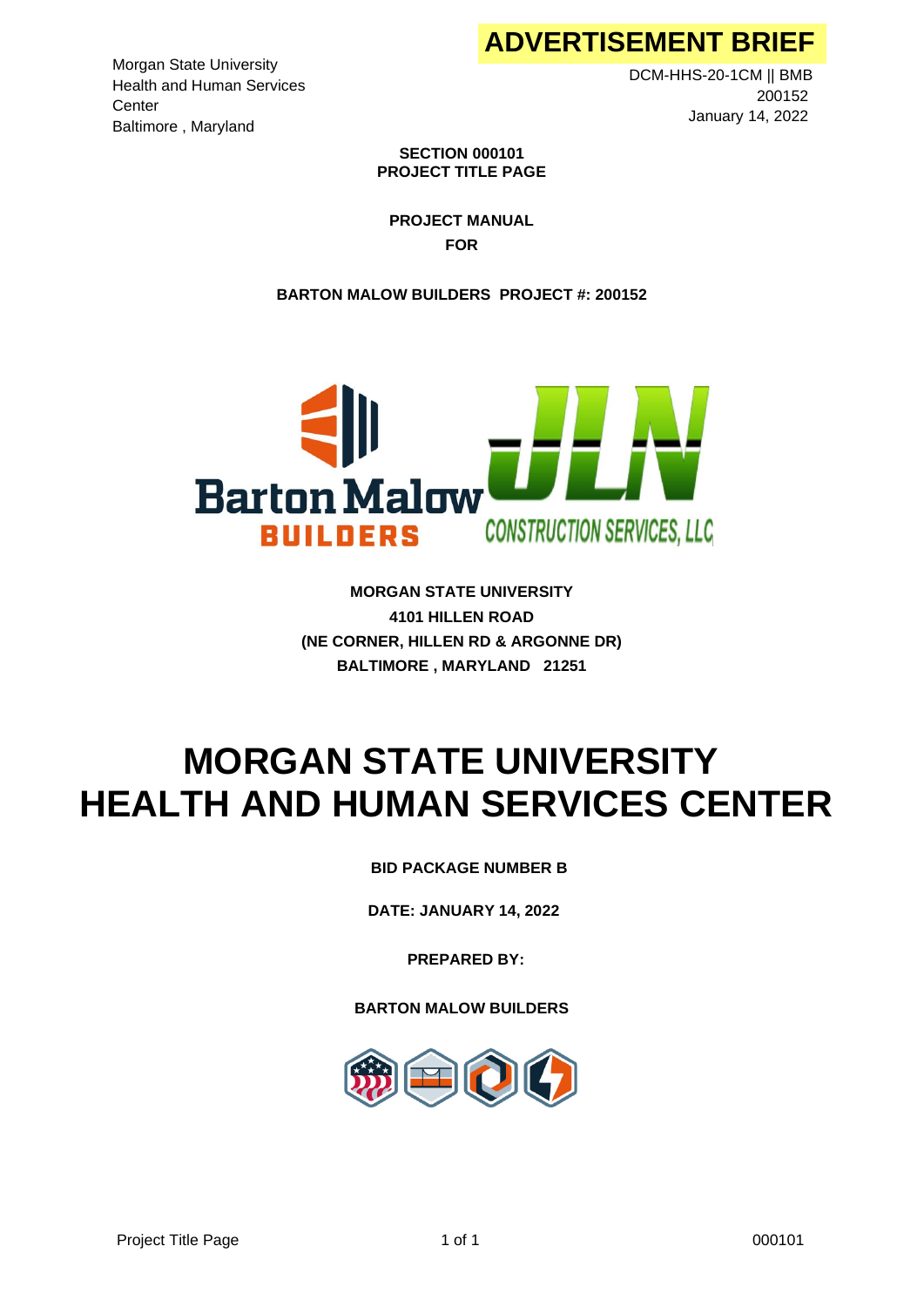Morgan State University Health and Human Services **Center** Baltimore , Maryland

DCM-HHS-20-1CM || BMB 200152 January 14, 2022

**SECTION 000101 PROJECT TITLE PAGE**

**PROJECT MANUAL FOR**

**BARTON MALOW BUILDERS PROJECT #: 200152**



**MORGAN STATE UNIVERSITY 4101 HILLEN ROAD (NE CORNER, HILLEN RD & ARGONNE DR) BALTIMORE , MARYLAND 21251**

# **MORGAN STATE UNIVERSITY HEALTH AND HUMAN SERVICES CENTER**

**BARTON MALOW BUILDERS BID PACKAGE NUMBER B**

**DATE: JANUARY 14, 2022**

**PREPARED BY:**

**BARTON MALOW BUILDERS** 

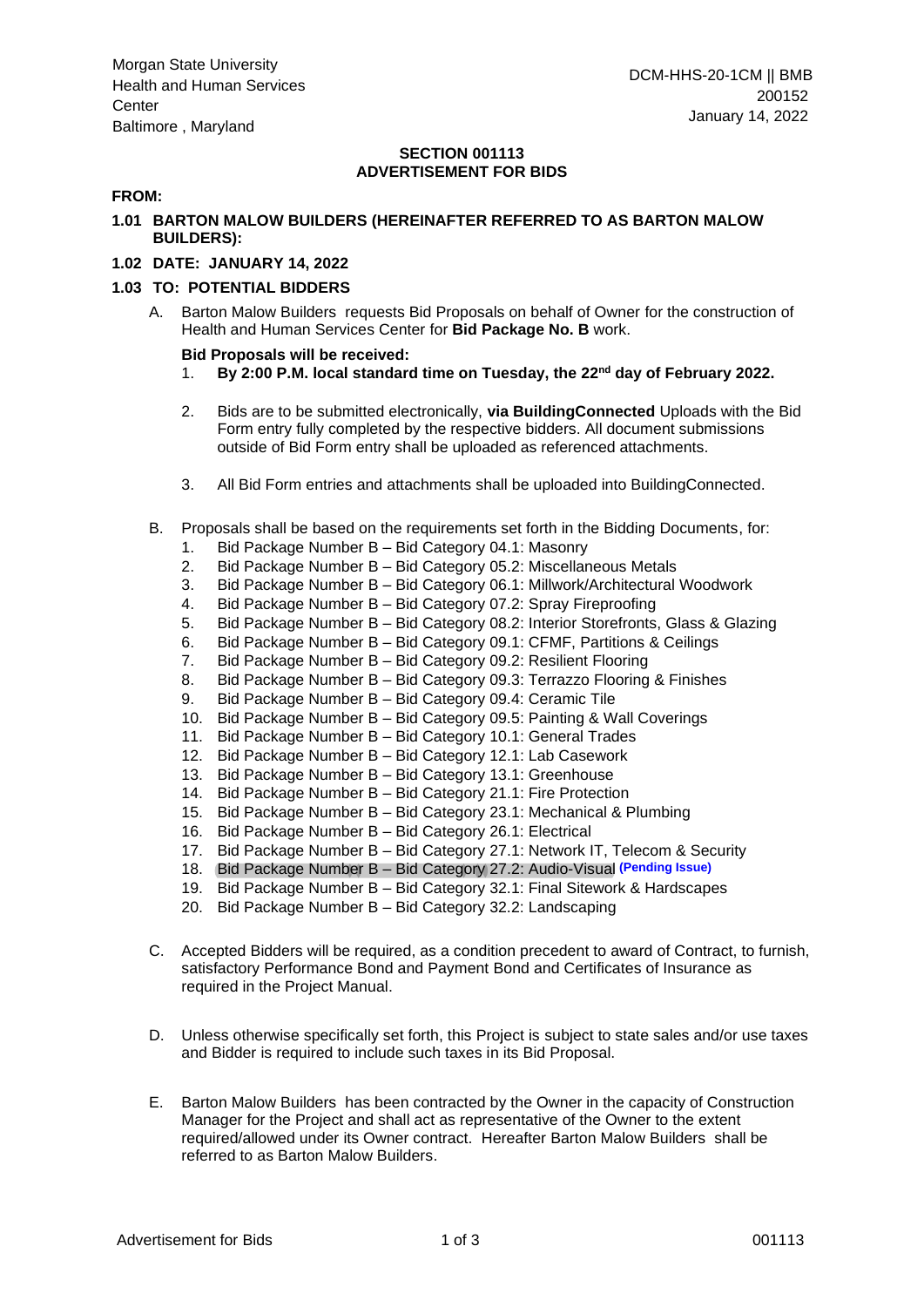## **SECTION 001113 ADVERTISEMENT FOR BIDS**

## **FROM:**

## **1.01 BARTON MALOW BUILDERS (HEREINAFTER REFERRED TO AS BARTON MALOW BUILDERS):**

## **1.02 DATE: JANUARY 14, 2022**

#### **1.03 TO: POTENTIAL BIDDERS**

A. Barton Malow Builders requests Bid Proposals on behalf of Owner for the construction of Health and Human Services Center for **Bid Package No. B** work.

#### **Bid Proposals will be received:**

- 1. **By 2:00 P.M. local standard time on Tuesday, the 22 nd day of February 2022.**
- 2. Bids are to be submitted electronically, **via BuildingConnected** Uploads with the Bid Form entry fully completed by the respective bidders. All document submissions outside of Bid Form entry shall be uploaded as referenced attachments.
- 3. All Bid Form entries and attachments shall be uploaded into BuildingConnected.
- B. Proposals shall be based on the requirements set forth in the Bidding Documents, for:
	- 1. Bid Package Number B Bid Category 04.1: Masonry
	- 2. Bid Package Number B Bid Category 05.2: Miscellaneous Metals
	- 3. Bid Package Number B Bid Category 06.1: Millwork/Architectural Woodwork
	- 4. Bid Package Number B Bid Category 07.2: Spray Fireproofing
	- 5. Bid Package Number B Bid Category 08.2: Interior Storefronts, Glass & Glazing
	- 6. Bid Package Number B Bid Category 09.1: CFMF, Partitions & Ceilings
	- 7. Bid Package Number B Bid Category 09.2: Resilient Flooring
	- 8. Bid Package Number B Bid Category 09.3: Terrazzo Flooring & Finishes
	- 9. Bid Package Number B Bid Category 09.4: Ceramic Tile
	- 10. Bid Package Number B Bid Category 09.5: Painting & Wall Coverings
	- 11. Bid Package Number B Bid Category 10.1: General Trades
	- 12. Bid Package Number B Bid Category 12.1: Lab Casework
	- 13. Bid Package Number B Bid Category 13.1: Greenhouse
	- 14. Bid Package Number B Bid Category 21.1: Fire Protection
	- 15. Bid Package Number B Bid Category 23.1: Mechanical & Plumbing
	- 16. Bid Package Number B Bid Category 26.1: Electrical
	- 17. Bid Package Number B Bid Category 27.1: Network IT, Telecom & Security
	- 18. Bid Package Number B Bid Category 27.2: Audio-Visual **(Pending Issue)**
	- 19. Bid Package Number B Bid Category 32.1: Final Sitework & Hardscapes
	- 20. Bid Package Number B Bid Category 32.2: Landscaping
- C. Accepted Bidders will be required, as a condition precedent to award of Contract, to furnish, satisfactory Performance Bond and Payment Bond and Certificates of Insurance as required in the Project Manual.
- D. Unless otherwise specifically set forth, this Project is subject to state sales and/or use taxes and Bidder is required to include such taxes in its Bid Proposal.
- E. Barton Malow Builders has been contracted by the Owner in the capacity of Construction Manager for the Project and shall act as representative of the Owner to the extent required/allowed under its Owner contract. Hereafter Barton Malow Builders shall be referred to as Barton Malow Builders.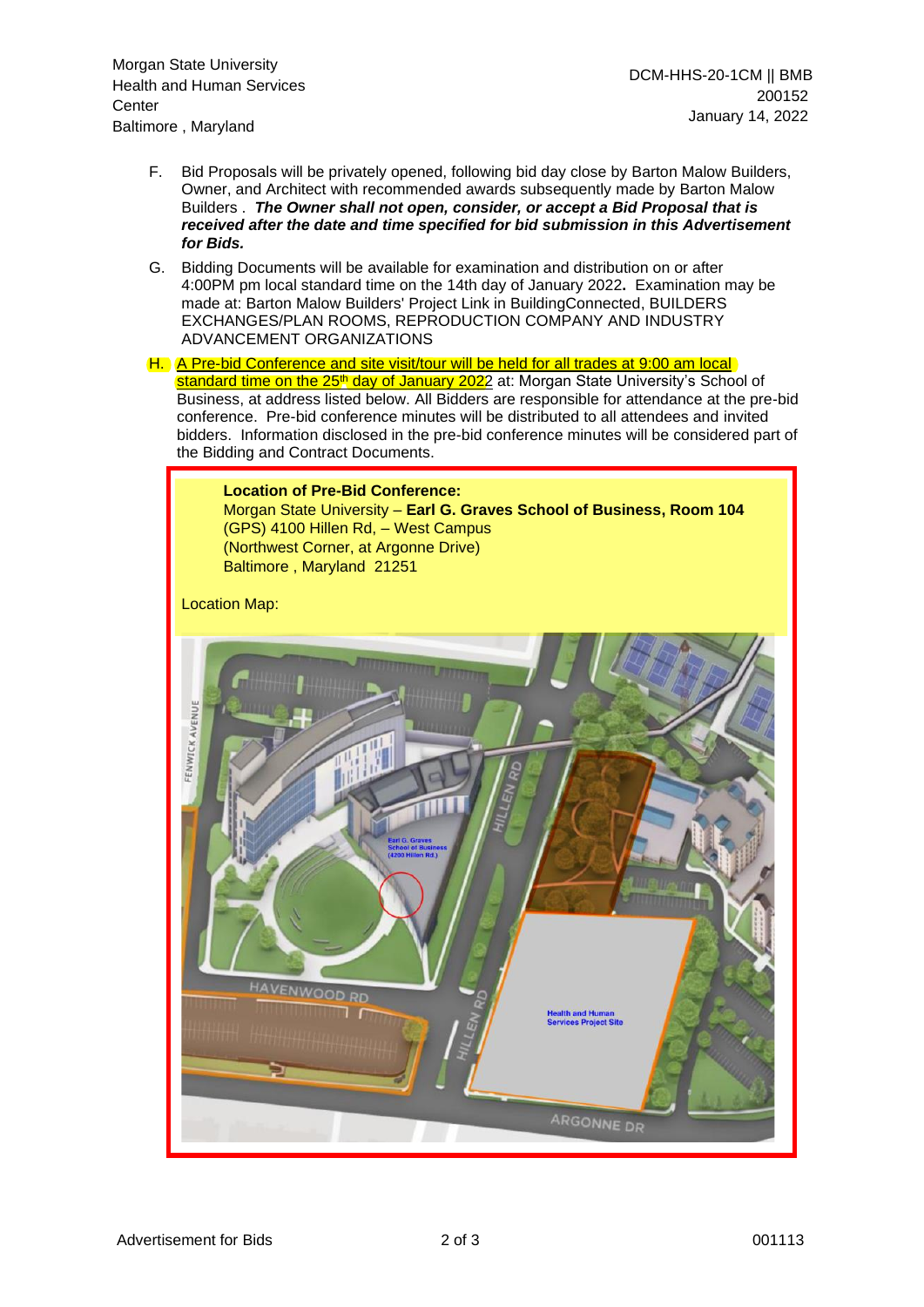- F. Bid Proposals will be privately opened, following bid day close by Barton Malow Builders, Owner, and Architect with recommended awards subsequently made by Barton Malow Builders . *The Owner shall not open, consider, or accept a Bid Proposal that is received after the date and time specified for bid submission in this Advertisement for Bids.*
- G. Bidding Documents will be available for examination and distribution on or after 4:00PM pm local standard time on the 14th day of January 2022**.** Examination may be made at: Barton Malow Builders' Project Link in BuildingConnected, BUILDERS EXCHANGES/PLAN ROOMS, REPRODUCTION COMPANY AND INDUSTRY ADVANCEMENT ORGANIZATIONS
- H. A Pre-bid Conference and site visit/tour will be held for all trades at 9:00 am local standard time on the 25<sup>th</sup> day of January 2022</u> at: Morgan State University's School of Business, at address listed below. All Bidders are responsible for attendance at the pre-bid conference. Pre-bid conference minutes will be distributed to all attendees and invited bidders. Information disclosed in the pre-bid conference minutes will be considered part of the Bidding and Contract Documents.